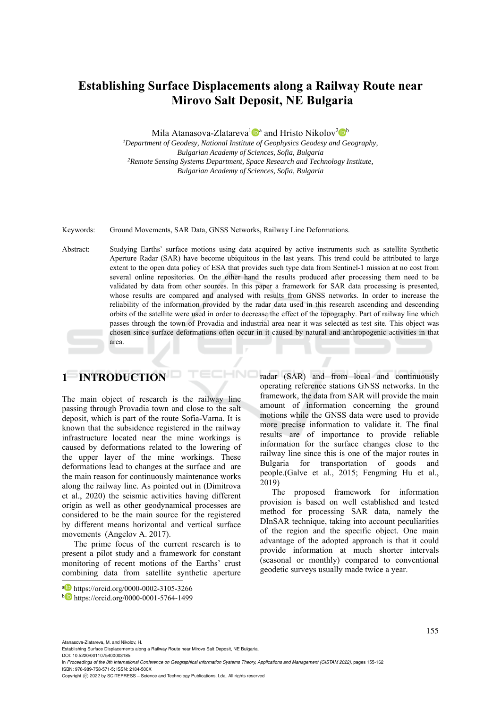# **Establishing Surface Displacements along a Railway Route near Mirovo Salt Deposit, NE Bulgaria**

Mila Atanasova-Zlatareva<sup>1</sup>  $\mathbb{D}^a$  and Hristo Nikolov<sup>2</sup> $\mathbb{D}^b$ 

*1Department of Geodesy, National Institute of Geophysics Geodesy and Geography, Bulgarian Academy of Sciences, Sofia, Bulgaria 2Remote Sensing Systems Department, Space Research and Technology Institute, Bulgarian Academy of Sciences, Sofia, Bulgaria* 

Keywords: Ground Movements, SAR Data, GNSS Networks, Railway Line Deformations.

Abstract: Studying Earths' surface motions using data acquired by active instruments such as satellite Synthetic Aperture Radar (SAR) have become ubiquitous in the last years. This trend could be attributed to large extent to the open data policy of ESA that provides such type data from Sentinel-1 mission at no cost from several online repositories. On the other hand the results produced after processing them need to be validated by data from other sources. In this paper a framework for SAR data processing is presented, whose results are compared and analysed with results from GNSS networks. In order to increase the reliability of the information provided by the radar data used in this research ascending and descending orbits of the satellite were used in order to decrease the effect of the topography. Part of railway line which passes through the town of Provadia and industrial area near it was selected as test site. This object was chosen since surface deformations often occur in it caused by natural and anthropogenic activities in that area.

HNC

# **1 INTRODUCTION**

The main object of research is the railway line passing through Provadia town and close to the salt deposit, which is part of the route Sofia-Varna. It is known that the subsidence registered in the railway infrastructure located near the mine workings is caused by deformations related to the lowering of the upper layer of the mine workings. These deformations lead to changes at the surface and are the main reason for continuously maintenance works along the railway line. As pointed out in (Dimitrova et al., 2020) the seismic activities having different origin as well as other geodynamical processes are considered to be the main source for the registered by different means horizontal and vertical surface movements (Angelov A. 2017).

The prime focus of the current research is to present a pilot study and a framework for constant monitoring of recent motions of the Earths' crust combining data from satellite synthetic aperture radar (SAR) and from local and continuously operating reference stations GNSS networks. In the framework, the data from SAR will provide the main amount of information concerning the ground motions while the GNSS data were used to provide more precise information to validate it. The final results are of importance to provide reliable information for the surface changes close to the railway line since this is one of the major routes in Bulgaria for transportation of goods and people.(Galve et al., 2015; Fengming Hu et al., 2019)

The proposed framework for information provision is based on well established and tested method for processing SAR data, namely the DInSAR technique, taking into account peculiarities of the region and the specific object. One main advantage of the adopted approach is that it could provide information at much shorter intervals (seasonal or monthly) compared to conventional geodetic surveys usually made twice a year.

Atanasova-Zlatareva, M. and Nikolov, H.

Establishing Surface Displacements along a Railway Route near Mirovo Salt Deposit, NE Bulgaria.

DOI: 10.5220/0011075400003185

In *Proceedings of the 8th International Conference on Geographical Information Systems Theory, Applications and Management (GISTAM 2022)*, pages 155-162 ISBN: 978-989-758-571-5; ISSN: 2184-500X

a https://orcid.org/0000-0002-3105-3266<br>b https://orcid.org/0000-0001-5764-1499

Copyright (C) 2022 by SCITEPRESS - Science and Technology Publications, Lda. All rights reserved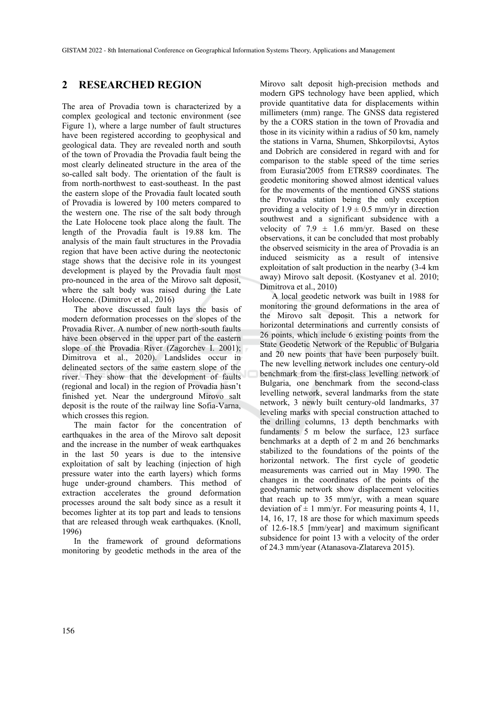### **2 RESEARCHED REGION**

The area of Provadia town is characterized by a complex geological and tectonic environment (see Figure 1), where a large number of fault structures have been registered according to geophysical and geological data. They are revealed north and south of the town of Provadia the Provadia fault being the most clearly delineated structure in the area of the so-called salt body. The orientation of the fault is from north-northwest to east-southeast. In the past the eastern slope of the Provadia fault located south of Provadia is lowered by 100 meters compared to the western one. The rise of the salt body through the Late Holocene took place along the fault. The length of the Provadia fault is 19.88 km. The analysis of the main fault structures in the Provadia region that have been active during the neotectonic stage shows that the decisive role in its youngest development is played by the Provadia fault most pro-nounced in the area of the Mirovo salt deposit, where the salt body was raised during the Late Holocene. (Dimitrov et al., 2016)

The above discussed fault lays the basis of modern deformation processes on the slopes of the Provadia River. A number of new north-south faults have been observed in the upper part of the eastern slope of the Provadia River (Zagorchev I. 2001); Dimitrova et al., 2020). Landslides occur in delineated sectors of the same eastern slope of the river. They show that the development of faults (regional and local) in the region of Provadia hasn't finished yet. Near the underground Mirovo salt deposit is the route of the railway line Sofia-Varna, which crosses this region.

The main factor for the concentration of earthquakes in the area of the Mirovo salt deposit and the increase in the number of weak earthquakes in the last 50 years is due to the intensive exploitation of salt by leaching (injection of high pressure water into the earth layers) which forms huge under-ground chambers. This method of extraction accelerates the ground deformation processes around the salt body since as a result it becomes lighter at its top part and leads to tensions that are released through weak earthquakes. (Knoll, 1996)

In the framework of ground deformations monitoring by geodetic methods in the area of the

Mirovo salt deposit high-precision methods and modern GPS technology have been applied, which provide quantitative data for displacements within millimeters (mm) range. The GNSS data registered by the a CORS station in the town of Provadia and those in its vicinity within a radius of 50 km, namely the stations in Varna, Shumen, Shkorpilovtsi, Aytos and Dobrich are considered in regard with and for comparison to the stable speed of the time series from Eurasia'2005 from ETRS89 coordinates. The geodetic monitoring showed almost identical values for the movements of the mentioned GNSS stations the Provadia station being the only exception providing a velocity of  $1.9 \pm 0.5$  mm/yr in direction southwest and a significant subsidence with a velocity of 7.9  $\pm$  1.6 mm/yr. Based on these observations, it can be concluded that most probably the observed seismicity in the area of Provadia is an induced seismicity as a result of intensive exploitation of salt production in the nearby (3-4 km away) Mirovo salt deposit. (Kostyanev et al. 2010; Dimitrova et al., 2010)

A local geodetic network was built in 1988 for monitoring the ground deformations in the area of the Mirovo salt deposit. This a network for horizontal determinations and currently consists of 26 points, which include 6 existing points from the State Geodetic Network of the Republic of Bulgaria and 20 new points that have been purposely built. The new levelling network includes one century-old benchmark from the first-class levelling network of Bulgaria, one benchmark from the second-class levelling network, several landmarks from the state network, 3 newly built century-old landmarks, 37 leveling marks with special construction attached to the drilling columns, 13 depth benchmarks with fundaments 5 m below the surface, 123 surface benchmarks at a depth of 2 m and 26 benchmarks stabilized to the foundations of the points of the horizontal network. The first cycle of geodetic measurements was carried out in May 1990. The changes in the coordinates of the points of the geodynamic network show displacement velocities that reach up to 35 mm/yr, with a mean square deviation of  $\pm$  1 mm/yr. For measuring points 4, 11, 14, 16, 17, 18 are those for which maximum speeds of 12.6-18.5 [mm/year] and maximum significant subsidence for point 13 with a velocity of the order of 24.3 mm/year (Atanasova-Zlatareva 2015).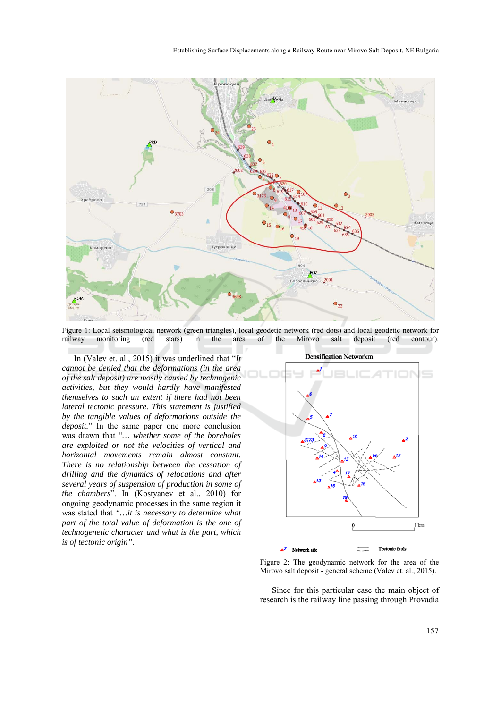

Figure 1: Local seismological network (green triangles), local geodetic network (red dots) and local geodetic network for railway monitoring (red stars) in the area of the Mirovo salt deposit (red contour).

In (Valev et. al., 2015) it was underlined that "*It cannot be denied that the deformations (in the area of the salt deposit) are mostly caused by technogenic activities, but they would hardly have manifested themselves to such an extent if there had not been lateral tectonic pressure. This statement is justified by the tangible values of deformations outside the deposit.*" In the same paper one more conclusion was drawn that "*… whether some of the boreholes are exploited or not the velocities of vertical and horizontal movements remain almost constant. There is no relationship between the cessation of drilling and the dynamics of relocations and after several years of suspension of production in some of the chambers*". In (Kostyanev et al., 2010) for ongoing geodynamic processes in the same region it was stated that *"…it is necessary to determine what part of the total value of deformation is the one of technogenetic character and what is the part, which is of tectonic origin"*.



Figure 2: The geodynamic network for the area of the Mirovo salt deposit - general scheme (Valev et. al., 2015).

Since for this particular case the main object of research is the railway line passing through Provadia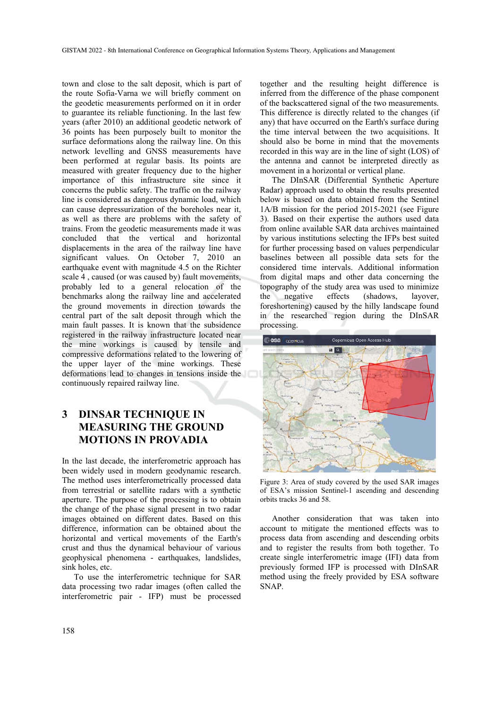town and close to the salt deposit, which is part of the route Sofia-Varna we will briefly comment on the geodetic measurements performed on it in order to guarantee its reliable functioning. In the last few years (after 2010) an additional geodetic network of 36 points has been purposely built to monitor the surface deformations along the railway line. On this network levelling and GNSS measurements have been performed at regular basis. Its points are measured with greater frequency due to the higher importance of this infrastructure site since it concerns the public safety. The traffic on the railway line is considered as dangerous dynamic load, which can cause depressurization of the boreholes near it, as well as there are problems with the safety of trains. From the geodetic measurements made it was concluded that the vertical and horizontal displacements in the area of the railway line have significant values. On October 7, 2010 an earthquake event with magnitude 4.5 on the Richter scale 4 , caused (or was caused by) fault movements, probably led to a general relocation of the benchmarks along the railway line and accelerated the ground movements in direction towards the central part of the salt deposit through which the main fault passes. It is known that the subsidence registered in the railway infrastructure located near the mine workings is caused by tensile and compressive deformations related to the lowering of the upper layer of the mine workings. These deformations lead to changes in tensions inside the continuously repaired railway line.

# **3 DINSAR TECHNIQUE IN MEASURING THE GROUND MOTIONS IN PROVADIA**

In the last decade, the interferometric approach has been widely used in modern geodynamic research. The method uses interferometrically processed data from terrestrial or satellite radars with a synthetic aperture. The purpose of the processing is to obtain the change of the phase signal present in two radar images obtained on different dates. Based on this difference, information can be obtained about the horizontal and vertical movements of the Earth's crust and thus the dynamical behaviour of various geophysical phenomena - earthquakes, landslides, sink holes, etc.

To use the interferometric technique for SAR data processing two radar images (often called the interferometric pair - IFP) must be processed

together and the resulting height difference is inferred from the difference of the phase component of the backscattered signal of the two measurements. This difference is directly related to the changes (if any) that have occurred on the Earth's surface during the time interval between the two acquisitions. It should also be borne in mind that the movements recorded in this way are in the line of sight (LOS) of the antenna and cannot be interpreted directly as movement in a horizontal or vertical plane.

The DInSAR (Differential Synthetic Aperture Radar) approach used to obtain the results presented below is based on data obtained from the Sentinel 1A/B mission for the period 2015-2021 (see Figure 3). Based on their expertise the authors used data from online available SAR data archives maintained by various institutions selecting the IFPs best suited for further processing based on values perpendicular baselines between all possible data sets for the considered time intervals. Additional information from digital maps and other data concerning the topography of the study area was used to minimize the negative effects (shadows, layover, foreshortening) caused by the hilly landscape found in the researched region during the DInSAR processing.



Figure 3: Area of study covered by the used SAR images of ESA's mission Sentinel-1 ascending and descending orbits tracks 36 and 58.

Another consideration that was taken into account to mitigate the mentioned effects was to process data from ascending and descending orbits and to register the results from both together. To create single interferometric image (IFI) data from previously formed IFP is processed with DInSAR method using the freely provided by ESA software SNAP.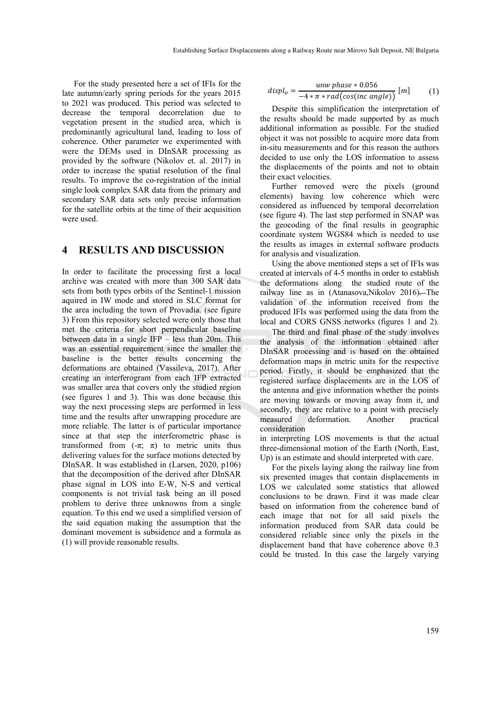For the study presented here a set of IFIs for the late autumn/early spring periods for the years 2015 to 2021 was produced. This period was selected to decrease the temporal decorrelation due to vegetation present in the studied area, which is predominantly agricultural land, leading to loss of coherence. Other parameter we experimented with were the DEMs used in DInSAR processing as provided by the software (Nikolov et. al. 2017) in order to increase the spatial resolution of the final results. To improve the co-registration of the initial single look complex SAR data from the primary and secondary SAR data sets only precise information for the satellite orbits at the time of their acquisition were used.

#### **4 RESULTS AND DISCUSSION**

In order to facilitate the processing first a local archive was created with more than 300 SAR data sets from both types orbits of the Sentinel-1 mission aquired in IW mode and stored in SLC format for the area including the town of Provadia. (see figure 3) From this repository selected were only those that met the criteria for short perpendicular baseline between data in a single  $IFP -$  less than 20m. This was an essential requirement since the smaller the baseline is the better results concerning the deformations are obtained (Vassileva, 2017). After creating an interferogram from each IFP extracted was smaller area that covers only the studied region (see figures 1 and 3). This was done because this way the next processing steps are performed in less time and the results after unwrapping procedure are more reliable. The latter is of particular importance since at that step the interferometric phase is transformed from  $(-\pi; \pi)$  to metric units thus delivering values for the surface motions detected by DInSAR. It was established in (Larsen, 2020, p106) that the decomposition of the derived after DInSAR phase signal in LOS into E-W, N-S and vertical components is not trivial task being an ill posed problem to derive three unknowns from a single equation. To this end we used a simplified version of the said equation making the assumption that the dominant movement is subsidence and a formula as (1) will provide reasonable results.

$$
display_v = \frac{unw \; phase * 0.056}{-4 * \pi * rad(cos(inc \; angle))} \; [m] \tag{1}
$$

Despite this simplification the interpretation of the results should be made supported by as much additional information as possible. For the studied object it was not possible to acquire more data from in-situ measurements and for this reason the authors decided to use only the LOS information to assess the displacements of the points and not to obtain their exact velocities.

Further removed were the pixels (ground elements) having low coherence which were considered as influenced by temporal decorrelation (see figure 4). The last step performed in SNAP was the geocoding of the final results in geographic coordinate system WGS84 which is needed to use the results as images in external software products for analysis and visualization.

Using the above mentioned steps a set of IFIs was created at intervals of 4-5 months in order to establish the deformations along the studied route of the railway line as in (Atanasova,Nikolov 2016). The validation of the information received from the produced IFIs was performed using the data from the local and CORS GNSS networks (figures 1 and 2).

The third and final phase of the study involves the analysis of the information obtained after DInSAR processing and is based on the obtained deformation maps in metric units for the respective period. Firstly, it should be emphasized that the registered surface displacements are in the LOS of the antenna and give information whether the points are moving towards or moving away from it, and secondly, they are relative to a point with precisely measured deformation. Another practical consideration

in interpreting LOS movements is that the actual three-dimensional motion of the Earth (North, East, Up) is an estimate and should interpreted with care.

For the pixels laying along the railway line from six presented images that contain displacements in LOS we calculated some statistics that allowed conclusions to be drawn. First it was made clear based on information from the coherence band of each image that not for all said pixels the information produced from SAR data could be considered reliable since only the pixels in the displacement band that have coherence above 0.3 could be trusted. In this case the largely varying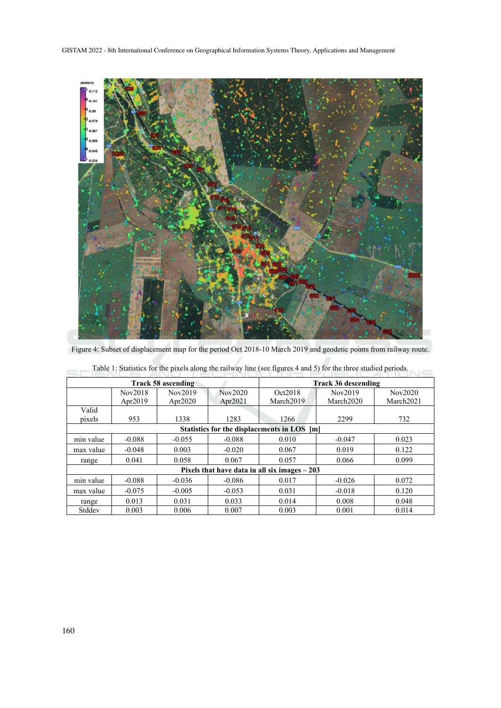

Figure 4: Subset of displacement map for the period Oct 2018-10 March 2019 and geodetic points from railway route.

| Track 58 ascending                             |          |            |            | <b>Track 36 descending</b> |           |                       |
|------------------------------------------------|----------|------------|------------|----------------------------|-----------|-----------------------|
|                                                | Nov2018  | Nov2019    | Nov2020    | Oct2018                    | Nov2019   | Nov2020               |
|                                                | Apr2019  | Apr $2020$ | Apr $2021$ | March2019                  | March2020 | March <sub>2021</sub> |
| Valid                                          |          |            |            |                            |           |                       |
| pixels                                         | 953      | 1338       | 1283       | 1266                       | 2299      | 732                   |
| Statistics for the displacements in LOS [m]    |          |            |            |                            |           |                       |
| min value                                      | $-0.088$ | $-0.055$   | $-0.088$   | 0.010                      | $-0.047$  | 0.023                 |
| max value                                      | $-0.048$ | 0.003      | $-0.020$   | 0.067                      | 0.019     | 0.122                 |
| range                                          | 0.041    | 0.058      | 0.067      | 0.057                      | 0.066     | 0.099                 |
| Pixels that have data in all six images $-203$ |          |            |            |                            |           |                       |
| min value                                      | $-0.088$ | $-0.036$   | $-0.086$   | 0.017                      | $-0.026$  | 0.072                 |
| max value                                      | $-0.075$ | $-0.005$   | $-0.053$   | 0.031                      | $-0.018$  | 0.120                 |
| range                                          | 0.013    | 0.031      | 0.033      | 0.014                      | 0.008     | 0.048                 |
| Stddev                                         | 0.003    | 0.006      | 0.007      | 0.003                      | 0.001     | 0.014                 |

Table 1: Statistics for the pixels along the railway line (see figures 4 and 5) for the three studied periods.  $\equiv$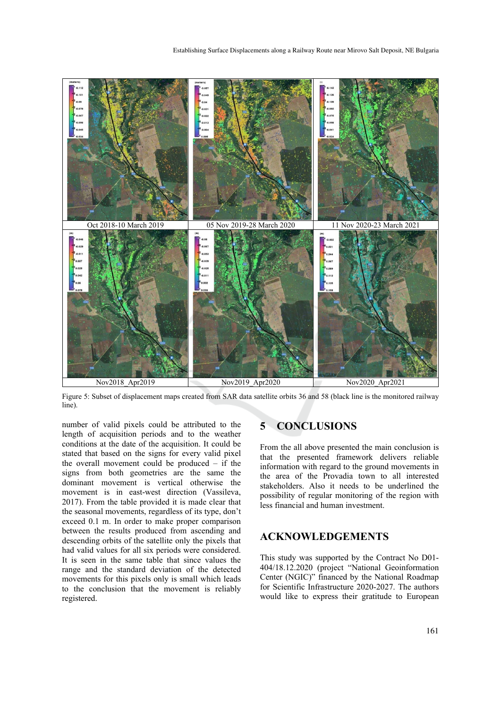

Figure 5: Subset of displacement maps created from SAR data satellite orbits 36 and 58 (black line is the monitored railway line).

number of valid pixels could be attributed to the length of acquisition periods and to the weather conditions at the date of the acquisition. It could be stated that based on the signs for every valid pixel the overall movement could be produced – if the signs from both geometries are the same the dominant movement is vertical otherwise the movement is in east-west direction (Vassileva, 2017). From the table provided it is made clear that the seasonal movements, regardless of its type, don't exceed 0.1 m. In order to make proper comparison between the results produced from ascending and descending orbits of the satellite only the pixels that had valid values for all six periods were considered. It is seen in the same table that since values the range and the standard deviation of the detected movements for this pixels only is small which leads to the conclusion that the movement is reliably registered.

## **5 CONCLUSIONS**

From the all above presented the main conclusion is that the presented framework delivers reliable information with regard to the ground movements in the area of the Provadia town to all interested stakeholders. Also it needs to be underlined the possibility of regular monitoring of the region with less financial and human investment.

### **ACKNOWLEDGEMENTS**

This study was supported by the Contract No D01- 404/18.12.2020 (project "National Geoinformation Center (NGIC)" financed by the National Roadmap for Scientific Infrastructure 2020-2027. The authors would like to express their gratitude to European